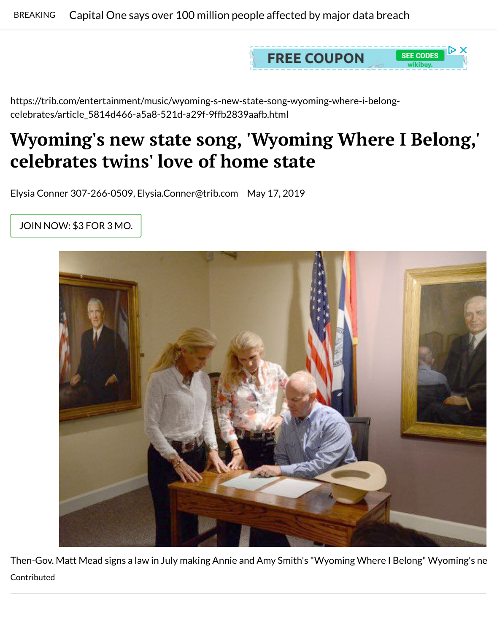https://trib.co[m/entertainment/music/wyoming-s-new-state-song-wyoming-where-i-belong](https://trib.com/news/national/capital-one-says-over-million-people-affected-by-major-data/article_977b96c1-347f-5131-9783-41308cb49455.html#tracking-source=home-breaking)celebrates/article\_5814d466-a5a8-521d-a29f-9ffb2839aafb.html

## **Wyoming's new state song, 'Wyoming Where I B celebrates twins' love of home state**

Elysia Conner 307-266-0509, Elysia.Conner@trib.com May 17, 2019

JOIN NOW: \$3 FOR 3 MO.



Then-Gov. Matt Mead signs a law in July making Annie and Amy Smith's "Wyoming Where I Belong Contributed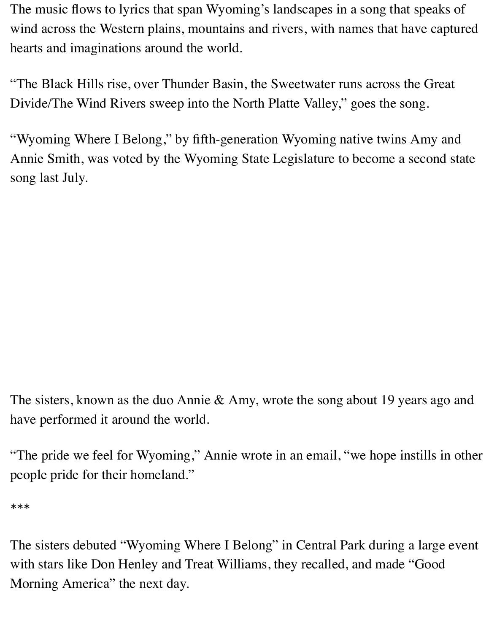The music flows to lyrics that span Wyoming's landscapes in a song that speaks of wind across the Western plains, mountains and rivers, with names that have captured hearts and imaginations around the world.

"The Black Hills rise, over Thunder Basin, the Sweetwater runs across the Great Divide/The Wind Rivers sweep into the North Platte Valley," goes the song.

"Wyoming Where I Belong," by fifth-generation Wyoming native twins Amy and Annie Smith, was voted by the Wyoming State Legislature to become a second state song last July.

The sisters, known as the duo Annie & Amy, wrote the song about 19 years ago and have performed it around the world.

"The pride we feel for Wyoming," Annie wrote in an email, "we hope instills in other people pride for their homeland."

\*\*\*

The sisters debuted "Wyoming Where I Belong" in Central Park during a large event with stars like Don Henley and Treat Williams, they recalled, and made "Good Morning America" the next day.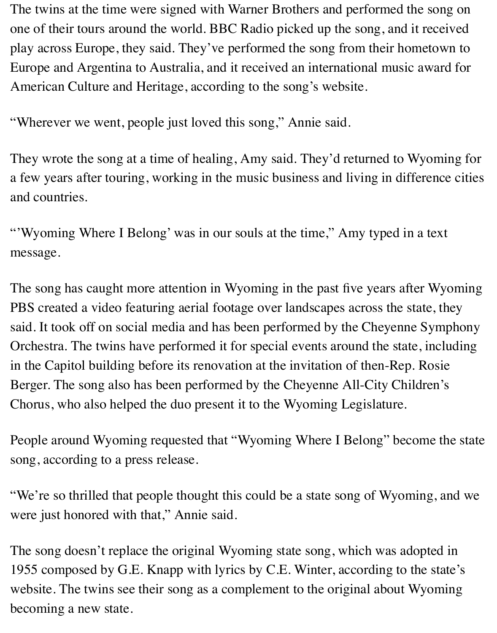American Culture and Heritage, according to the song's website.

"Wherever we went, people just loved this song," Annie said.

They wrote the song at a time of healing, Amy said. They'd returned to Wy a few years after touring, working in the musi[c business and livi](http://www.wyomingwhereibelong.com/)ng in diffe and countries.

"'Wyoming Where I Belong' was in our souls at the time," Amy typed in a message.

The song has caught more attention in Wyoming in the past five years after PBS created a video featuring aerial footage over landscapes across the state. said. It took off on social media and has been performed by the Cheyenne S Orchestra. The twins have performed it for special events around the state, in the Capitol building before its renovation at the invitation of then-Rep. I Berger. The song also has been performed by the Cheyenne All-City Child Chorus, who also helped the duo present it to the Wyoming Legislature.

People around Wyoming requested that "Wyoming Where I Belong" become song, according to a press release.

"We're so thrilled that people thought this could be a state song of Wyoming." were just honored with that," Annie said.

The song doesn't replace the original Wyoming state song, which was adopted in 1955 composed by G.E. Knapp with lyrics by C.E. Winter, according to the website. The twins see their song as a complement to the original about  $W_1$ becoming a new state.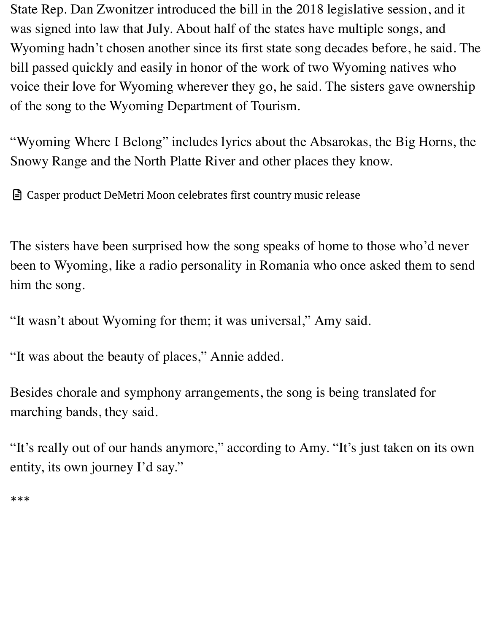voice their love for Wyoming wherever they go, he said. The sisters gave o of the song to the Wyoming Department of Tourism.

"Wyoming Where I Belong" includes lyrics about the Absarokas, the Big I Snowy Range and the North Platte River and other places they know.

Casper product DeMetri Moon celebrates first country music release

The sisters have been surprised how the song speaks of home to those who been to Wyoming, like a radio personality in Romania who once asked the [him the song.](https://trib.com/entertainment/arts-and-theatre/casper-product-demetri-moon-celebrates-first-country-music-release/article_50c33682-6c4d-5a7c-a660-ae6099dd4ac3.html)

"It wasn't about Wyoming for them; it was universal," Amy said.

"It was about the beauty of places," Annie added.

Besides chorale and symphony arrangements, the song is being translated for marching bands, they said.

"It's really out of our hands anymore," according to Amy. "It's just taken c entity, its own journey I'd say."

\*\*\*

٠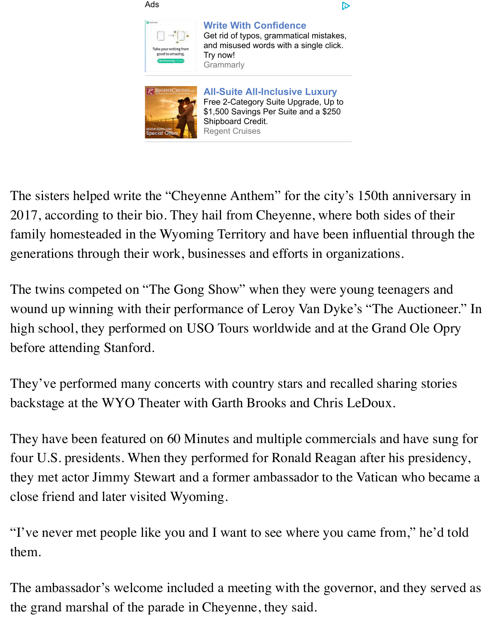

**All-Suite All-Inclusive Luxury** Free 2-Category Suite Upgrade, Up to [\\$1,500 Savings Per Suite an](https://googleads.g.doubleclick.net/aclk?sa=l&ai=CpGDoGbA_XbKGJcTshQb7iKCwCaqz3PFWstfzyOEIFBABIOXF-h0oAmDJpt6M4KTQFKAB_9uKyAPIAQaoAwHIA8MEqgSRAk_Q5rCFHycwhh-0pnIYYRvBlHHCAawzYUeRBsp-qhO3373gmSsiyC0QEOjzPYRhlZuQQCOAYFDtUg2wfCGU22JYl3o3T23DVoPR-rz8diERH1cxZYjsDlj0YRMZAbcWOAcV2fbO_flRg_yVEpt_5RUbW9gWZBiQjiQ-qG9fTzWZKrOwXy3Yi8QKdLMAAmr58wqtg5Fwy09V1mNYx_UjSYzvY9nLhcvbcY5fe6MH9seMf-RWvszwA0mnJKqzryVxb-z6nxO_zXmV80ISv2WEZ35KXetnduaSMDHCgpyG3AaYPzo2wpDn06NRxi5j8YHv005_0iOpB3CuDwVupznAWLnctAz23Y0Z9k3ZARFqOGBZjqAGN4AHhvOcCagHjs4bqAfVyRuoB8HTG6gHhdQbqAeB1BuoB4LUG6gHhtQbqAeE1BuoB5PYG6gH4NMbqAe6BqgH2csbqAfPzBuoB6a-G6gH89EbqAfs1RvYBwHSCAcIgGEQARgOsQmcFyBbWA-Q2IAKAdgTDIgUBA&ae=1&num=1&sig=AOD64_0Qyt3PCzpF6q6JEp_KFoV0J-bAvA&client=ca-pub-9517838953968990&adurl=https://www.grammarly.com/%3Futm_source%3Dgdn%26utm_medium%3Dcpc%26utm_campaign%3Dsimilarpremiumusertst1%26utm_phase%3Dother%26utm_content%3D326356016771%26placement%3Dtrib.com%26network%3Dd%26gclid%3DEAIaIQobChMI8vbK5tDb4wIVRHbBCh17BAiWEAEYASAAEgKKhPD_BwE)d a \$250 [Shipboard Credit.](https://googleads.g.doubleclick.net/aclk?sa=l&ai=CpGDoGbA_XbKGJcTshQb7iKCwCaqz3PFWstfzyOEIFBABIOXF-h0oAmDJpt6M4KTQFKAB_9uKyAPIAQaoAwHIA8MEqgSRAk_Q5rCFHycwhh-0pnIYYRvBlHHCAawzYUeRBsp-qhO3373gmSsiyC0QEOjzPYRhlZuQQCOAYFDtUg2wfCGU22JYl3o3T23DVoPR-rz8diERH1cxZYjsDlj0YRMZAbcWOAcV2fbO_flRg_yVEpt_5RUbW9gWZBiQjiQ-qG9fTzWZKrOwXy3Yi8QKdLMAAmr58wqtg5Fwy09V1mNYx_UjSYzvY9nLhcvbcY5fe6MH9seMf-RWvszwA0mnJKqzryVxb-z6nxO_zXmV80ISv2WEZ35KXetnduaSMDHCgpyG3AaYPzo2wpDn06NRxi5j8YHv005_0iOpB3CuDwVupznAWLnctAz23Y0Z9k3ZARFqOGBZjqAGN4AHhvOcCagHjs4bqAfVyRuoB8HTG6gHhdQbqAeB1BuoB4LUG6gHhtQbqAeE1BuoB5PYG6gH4NMbqAe6BqgH2csbqAfPzBuoB6a-G6gH89EbqAfs1RvYBwHSCAcIgGEQARgOsQmcFyBbWA-Q2IAKAdgTDIgUBA&ae=1&num=1&sig=AOD64_0Qyt3PCzpF6q6JEp_KFoV0J-bAvA&client=ca-pub-9517838953968990&adurl=https://www.grammarly.com/%3Futm_source%3Dgdn%26utm_medium%3Dcpc%26utm_campaign%3Dsimilarpremiumusertst1%26utm_phase%3Dother%26utm_content%3D326356016771%26placement%3Dtrib.com%26network%3Dd%26gclid%3DEAIaIQobChMI8vbK5tDb4wIVRHbBCh17BAiWEAEYASAAEgKKhPD_BwE) Regent Cruises

The sisters helped write [the "Cheyenne Anthem" for the city](https://googleads.g.doubleclick.net/aclk?sa=l&ai=CXopdGbA_XbKGJcTshQb7iKCwCeaWpOpWq6-OsoEJsJAfEAIg5cX6HSgCYMmm3ozgpNAUoAHZpcnkA8gBBqgDAcgDwwSqBJECT9DTv40fJDCGH7SmchhhG8GUccIBrDNhR5EGyn6qE7ffveCZKyLILRAQ6PM9hGGVm5BAI4BgUO1SDbB8IZTbYliXejdPbcNWg9H6vPx2IREfVzFliOwOWPRhExkBtxY4BxXZ9s79-VGD_JUSm3_lFRtb2BZkGJCOJD6ob19PNZkqs7BfLdiLxAp0swACavnzCq2DkXDLT1XWY1jH9SNJjO9j2cuFy9txjl97owf2x4x_5Fa-zPADSa0kqrr6WRdv7PqfE7_NeZXzQhK_ZYRnfkpd62d25pIwMcKCnIbcBpg_OjbCkOfTo1HGLmPxge_TTn_SI6kHcK4PBW7cfvJOudy0DPbdjRn2TdkBEScgdXSOoAY3gAeP2rYbqAeOzhuoB9XJG6gHwdMbqAeF1BuoB4HUG6gHgtQbqAeG1BuoB4TUG6gHk9gbqAfg0xuoB7oGqAfZyxuoB8_MG6gHpr4bqAfz0RuoB-zVG9gHAdIIBwiAYRABGA6xCYujkOhPGrsIgAoB2BMCiBQM&ae=1&num=2&sig=AOD64_3lnd0lEkFWnzIbr_ID_xeiicR67Q&client=ca-pub-9517838953968990&adurl=https://www.regentcruises.com/cruise-lines/regent-seven-seas-cruises-hot-deals.html%3Fd%3Dc%26n%3Dd%26c%3DRegent%2520Remarketing%2520KW%2520Campaign%26a%3D66457611502%26c%3D343032131180%26k%3D%26qsrc%3D1491%26gclid%3DEAIaIQobChMI8vbK5tDb4wIVRHbBCh17BAiWEAEYAiAAEgJmZvD_BwE)'s 150th anniversary in the sisters helped write the "Cheyenne Anthem" for the city's 150th anniversary in the sisters 2017, according to their bio. They [hail from C](https://googleads.g.doubleclick.net/aclk?sa=l&ai=CXopdGbA_XbKGJcTshQb7iKCwCeaWpOpWq6-OsoEJsJAfEAIg5cX6HSgCYMmm3ozgpNAUoAHZpcnkA8gBBqgDAcgDwwSqBJECT9DTv40fJDCGH7SmchhhG8GUccIBrDNhR5EGyn6qE7ffveCZKyLILRAQ6PM9hGGVm5BAI4BgUO1SDbB8IZTbYliXejdPbcNWg9H6vPx2IREfVzFliOwOWPRhExkBtxY4BxXZ9s79-VGD_JUSm3_lFRtb2BZkGJCOJD6ob19PNZkqs7BfLdiLxAp0swACavnzCq2DkXDLT1XWY1jH9SNJjO9j2cuFy9txjl97owf2x4x_5Fa-zPADSa0kqrr6WRdv7PqfE7_NeZXzQhK_ZYRnfkpd62d25pIwMcKCnIbcBpg_OjbCkOfTo1HGLmPxge_TTn_SI6kHcK4PBW7cfvJOudy0DPbdjRn2TdkBEScgdXSOoAY3gAeP2rYbqAeOzhuoB9XJG6gHwdMbqAeF1BuoB4HUG6gHgtQbqAeG1BuoB4TUG6gHk9gbqAfg0xuoB7oGqAfZyxuoB8_MG6gHpr4bqAfz0RuoB-zVG9gHAdIIBwiAYRABGA6xCYujkOhPGrsIgAoB2BMCiBQM&ae=1&num=2&sig=AOD64_3lnd0lEkFWnzIbr_ID_xeiicR67Q&client=ca-pub-9517838953968990&adurl=https://www.regentcruises.com/cruise-lines/regent-seven-seas-cruises-hot-deals.html%3Fd%3Dc%26n%3Dd%26c%3DRegent%2520Remarketing%2520KW%2520Campaign%26a%3D66457611502%26c%3D343032131180%26k%3D%26qsrc%3D1491%26gclid%3DEAIaIQobChMI8vbK5tDb4wIVRHbBCh17BAiWEAEYAiAAEgJmZvD_BwE)heyenne, where both sides of family homesteaded in the Wyoming Territory and have been influential th generations through their work, businesses and efforts in organizations.

The twins competed on "The Gong Show" when they were young teenagers wound up winning with their performance of Leroy Van Dyke's "The Auction high school, they performed on USO Tours worldwide and at the Grand Ol before attending Stanford.

They've performed many concerts with country stars and recalled sharing backstage at the WYO Theater with Garth Brooks and Chris LeDoux.

They have been featured on 60 Minutes and multiple commercials and have four U.S. presidents. When they performed for Ronald Reagan after his presidents. they met actor Jimmy Stewart and a former ambassador to the Vatican who close friend and later visited Wyoming.

"I've never met people like you and I want to see where you came from," l them.

The ambassador's welcome included a meeting with the governor, and they the grand marshal of the parade in Cheyenne, they said.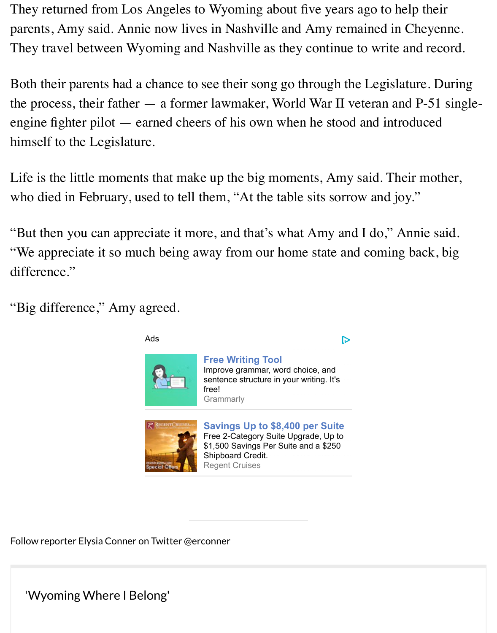Both their parents had a chance to see their song go through the Legislature. the process, their father  $-$  a former lawmaker, World War II veteran and P engine fighter pilot  $-$  earned cheers of his own when he stood and introdu himself to the Legislature.

Life is the little moments that make up the big moments, Amy said. Their mother, who died in February, used to tell them, "At the table sits sorrow and joy."

"But then you can appreciate it more, and that's what Amy and I do," Anni "We appreciate it so much being away from our home state and coming ba difference."

"Big difference," Amy agreed.



Follow reporter Elysia Conner o[n Twitter @e](https://googleads.g.doubleclick.net/aclk?sa=l&ai=C20FqGbA_Xc-gIZjPogbhg4KQAuaWpOpWq6-OsoEJsJAfEAIg5cX6HSgCYMmm3ozgpNAUoAHZpcnkA8gBBqgDAcgDwwSqBJcCT9D8FgLDVzyqH_9w2KTQfjxboj-BY1iu73iAjOqETWkj2AntvfvliGT7xF2STLs4rMIZF1bfxLmUvaZD5ebqaGbtbmwh5r6DZxDHi6yN-Kk-Fy6MgDi-MhZWI_nEOrpqrD2A0rFBZXnWhB2yWsY9Jz-KEqjtddLzsOJoZf8AwVuS_-THWkkLBdEV2r5sFjSgxvo3FPu2TBo8muXJoc534hRLCnC_u-5sig5I8C3hgzn2CFW1krhLgyQcqVo1c_cWZaOZaLIBMKS8KF4IjEVSmcegUjY5f7KVCbN2n5XpUOlsL8Jpt0vuGFUTX0-ba4_Ji9u-Yz-81TcGoHCwFrtySEahMvIPJv6mmBcwCoNtmBP0k1s03npKoAY3gAeP2rYbqAeOzhuoB9XJG6gHwdMbqAeF1BuoB4HUG6gHgtQbqAeG1BuoB4TUG6gHk9gbqAfg0xuoB7oGqAfZyxuoB8_MG6gHpr4bqAfz0RuoB-zVG9gHAdIIBwiAYRABGA6xCYujkOhPGrsIgAoB2BMCiBQM&ae=1&num=2&sig=AOD64_22HJyRPIp2gvZUr550mwvRfatsvQ&client=ca-pub-9517838953968990&adurl=https://www.regentcruises.com/cruise-lines/regent-seven-seas-cruises-hot-deals.html%3Fd%3Dc%26n%3Dd%26c%3DRegent%2520Remarketing%2520KW%2520Campaign%26a%3D66457611502%26c%3D343032131180%26k%3D%26qsrc%3D1491%26gclid%3DEAIaIQobChMIj5HH5tDb4wIVmKfICh3hgQAiEAEYAiAAEgKuifD_BwE)r[conner](https://googleads.g.doubleclick.net/aclk?sa=l&ai=C20FqGbA_Xc-gIZjPogbhg4KQAuaWpOpWq6-OsoEJsJAfEAIg5cX6HSgCYMmm3ozgpNAUoAHZpcnkA8gBBqgDAcgDwwSqBJcCT9D8FgLDVzyqH_9w2KTQfjxboj-BY1iu73iAjOqETWkj2AntvfvliGT7xF2STLs4rMIZF1bfxLmUvaZD5ebqaGbtbmwh5r6DZxDHi6yN-Kk-Fy6MgDi-MhZWI_nEOrpqrD2A0rFBZXnWhB2yWsY9Jz-KEqjtddLzsOJoZf8AwVuS_-THWkkLBdEV2r5sFjSgxvo3FPu2TBo8muXJoc534hRLCnC_u-5sig5I8C3hgzn2CFW1krhLgyQcqVo1c_cWZaOZaLIBMKS8KF4IjEVSmcegUjY5f7KVCbN2n5XpUOlsL8Jpt0vuGFUTX0-ba4_Ji9u-Yz-81TcGoHCwFrtySEahMvIPJv6mmBcwCoNtmBP0k1s03npKoAY3gAeP2rYbqAeOzhuoB9XJG6gHwdMbqAeF1BuoB4HUG6gHgtQbqAeG1BuoB4TUG6gHk9gbqAfg0xuoB7oGqAfZyxuoB8_MG6gHpr4bqAfz0RuoB-zVG9gHAdIIBwiAYRABGA6xCYujkOhPGrsIgAoB2BMCiBQM&ae=1&num=2&sig=AOD64_22HJyRPIp2gvZUr550mwvRfatsvQ&client=ca-pub-9517838953968990&adurl=https://www.regentcruises.com/cruise-lines/regent-seven-seas-cruises-hot-deals.html%3Fd%3Dc%26n%3Dd%26c%3DRegent%2520Remarketing%2520KW%2520Campaign%26a%3D66457611502%26c%3D343032131180%26k%3D%26qsrc%3D1491%26gclid%3DEAIaIQobChMIj5HH5tDb4wIVmKfICh3hgQAiEAEYAiAAEgKuifD_BwE)

'Wyoming Where I Belong'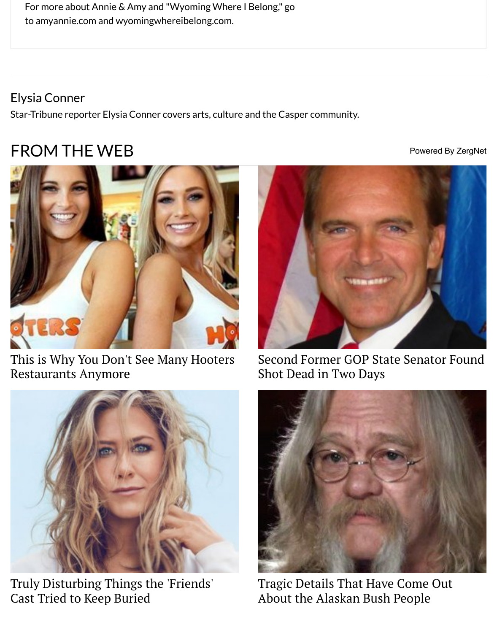## Elysi[a Conner](http://amyannie.com/)

Star-Tribune reporter Ely[sia Conner covers arts, cultu](http://www.wyomingwhereibelong.com/)re and the Casper community.

## FROM THE WEB POWERS AND RESERVE BY A POWER



[This is Why You Don't See Many Hooters](https://www.zergnet.com/i/4331631/57766/0/0/0/1) Restaurants Anymore



Second Former GOP State Sen Shot Dead in Two Days



[Truly Disturbing Things the 'Friends'](https://www.zergnet.com/i/4327813/57766/0/0/0/3) Cast Tried to Keep Buried





Tragic Details That Have Com About the Alaskan Bush Peopl

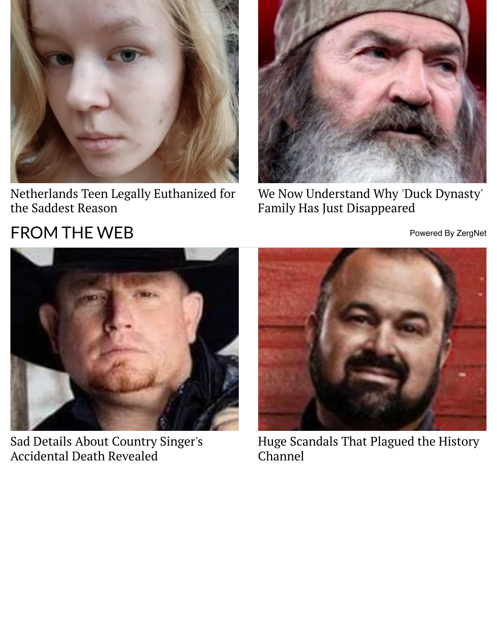

[Netherlands Teen Legally Euthanized for](https://www.zergnet.com/i/4190754/57766/0/0/0/5) the Saddest Reason



We Now Understand Why 'Duo Family Has Just Disappeared

## FROM THE WEB POWER AND RESERVE BY A ROW POWER



[Sad Details About Country Singer's](https://www.zergnet.com/i/3930742/57766/0/0/0/1) Accidental Death Revealed



Huge Scandals That Plagued t Channel